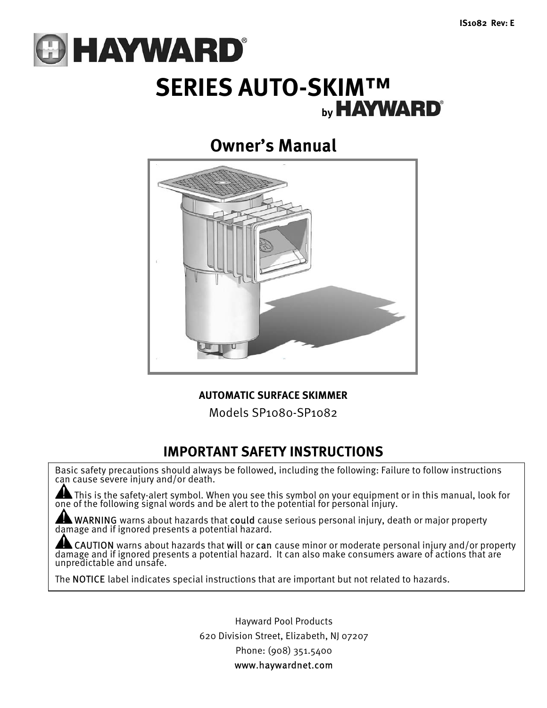# **HAYWARD® SERIES AUTO-SKIM™ by HAYWARD**®

# **Owner's Manual**



**AUTOMATIC SURFACE SKIMMER**

Models SP1080-SP1082

# **IMPORTANT SAFETY INSTRUCTIONS**

Basic safety precautions should always be followed, including the following: Failure to follow instructions can cause severe injury and/or death.

This is the safety-alert symbol. When you see this symbol on your equipment or in this manual, look for one of the following signal words and be alert to the potential for personal injury.

WARNING warns about hazards that could cause serious personal injury, death or major property damage and if ignored presents a potential hazard.

**CAUTION** warns about hazards that **will** or **can** cause minor or moderate personal injury and/or property damage and if ignored presents a potential hazard. It can also make consumers aware of actions that are unpredictable and unsafe.

The NOTICE label indicates special instructions that are important but not related to hazards.

Hayward Pool Products 620 Division Street, Elizabeth, NJ 07207 Phone: (908) 351.5400 www.haywardnet.com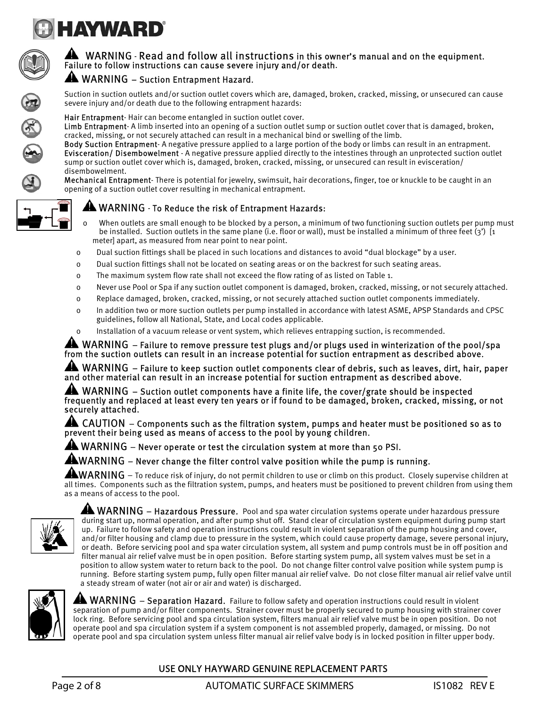



无人

#### A WARNING - Read and follow all instructions in this owner's manual and on the equipment. Failure to follow instructions can cause severe injury and/or death.

#### A WARNING - Suction Entrapment Hazard.

Suction in suction outlets and/or suction outlet covers which are, damaged, broken, cracked, missing, or unsecured can cause severe injury and/or death due to the following entrapment hazards:

Hair Entrapment- Hair can become entangled in suction outlet cover.

Limb Entrapment- A limb inserted into an opening of a suction outlet sump or suction outlet cover that is damaged, broken, cracked, missing, or not securely attached can result in a mechanical bind or swelling of the limb.

Body Suction Entrapment- A negative pressure applied to a large portion of the body or limbs can result in an entrapment. Evisceration/ Disembowelment - A negative pressure applied directly to the intestines through an unprotected suction outlet sump or suction outlet cover which is, damaged, broken, cracked, missing, or unsecured can result in evisceration/ disembowelment.

Mechanical Entrapment- There is potential for jewelry, swimsuit, hair decorations, finger, toe or knuckle to be caught in an opening of a suction outlet cover resulting in mechanical entrapment.

#### AN WARNING - To Reduce the risk of Entrapment Hazards:



- o Dual suction fittings shall be placed in such locations and distances to avoid "dual blockage" by a user.
- o Dual suction fittings shall not be located on seating areas or on the backrest for such seating areas.
- o The maximum system flow rate shall not exceed the flow rating of as listed on Table 1.
- o Never use Pool or Spa if any suction outlet component is damaged, broken, cracked, missing, or not securely attached.
- o Replace damaged, broken, cracked, missing, or not securely attached suction outlet components immediately.
- o In addition two or more suction outlets per pump installed in accordance with latest ASME, APSP Standards and CPSC guidelines, follow all National, State, and Local codes applicable.
- o Installation of a vacuum release or vent system, which relieves entrapping suction, is recommended.

 WARNING – Failure to remove pressure test plugs and/or plugs used in winterization of the pool/spa from the suction outlets can result in an increase potential for suction entrapment as described above.

AL WARNING – Failure to keep suction outlet components clear of debris, such as leaves, dirt, hair, paper and other material can result in an increase potential for suction entrapment as described above.

A WARNING – Suction outlet components have a finite life, the cover/grate should be inspected frequently and replaced at least every ten years or if found to be damaged, broken, cracked, missing, or not securely attached.

**AL** CAUTION – Components such as the filtration system, pumps and heater must be positioned so as to prevent their being used as means of access to the pool by young children.

A WARNING – Never operate or test the circulation system at more than 50 PSI.

#### **AWARNING** – Never change the filter control valve position while the pump is running.

**ALWARNING** – To reduce risk of injury, do not permit children to use or climb on this product. Closely supervise children at all times. Components such as the filtration system, pumps, and heaters must be positioned to prevent children from using them as a means of access to the pool.



**AL WARNING – Hazardous Pressure.** Pool and spa water circulation systems operate under hazardous pressure during start up, normal operation, and after pump shut off. Stand clear of circulation system equipment during pump start up. Failure to follow safety and operation instructions could result in violent separation of the pump housing and cover, and/or filter housing and clamp due to pressure in the system, which could cause property damage, severe personal injury, or death. Before servicing pool and spa water circulation system, all system and pump controls must be in off position and filter manual air relief valve must be in open position. Before starting system pump, all system valves must be set in a position to allow system water to return back to the pool. Do not change filter control valve position while system pump is running. Before starting system pump, fully open filter manual air relief valve. Do not close filter manual air relief valve until a steady stream of water (not air or air and water) is discharged.



 $\blacktriangle$  WARNING – Separation Hazard. Failure to follow safety and operation instructions could result in violent separation of pump and/or filter components. Strainer cover must be properly secured to pump housing with strainer cover lock ring. Before servicing pool and spa circulation system, filters manual air relief valve must be in open position. Do not operate pool and spa circulation system if a system component is not assembled properly, damaged, or missing. Do not operate pool and spa circulation system unless filter manual air relief valve body is in locked position in filter upper body.

#### USE ONLY HAYWARD GENUINE REPLACEMENT PARTS

Page 2 of 8 **AUTOMATIC SURFACE SKIMMERS** IS1082 REV E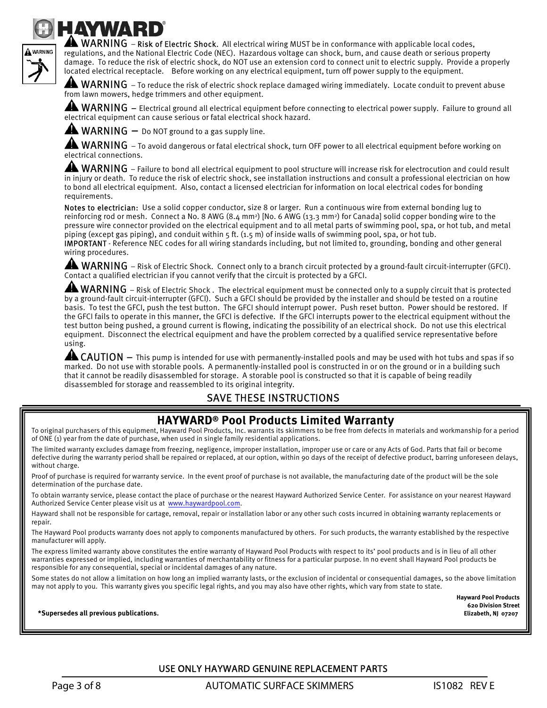

WARNING – Risk of Electric Shock. All electrical wiring MUST be in conformance with applicable local codes, regulations, and the National Electric Code (NEC). Hazardous voltage can shock, burn, and cause death or serious property damage. To reduce the risk of electric shock, do NOT use an extension cord to connect unit to electric supply. Provide a properly located electrical receptacle. Before working on any electrical equipment, turn off power supply to the equipment.

 $\mathsf{WARNING}\,-$  To reduce the risk of electric shock replace damaged wiring immediately. Locate conduit to prevent abuse from lawn mowers, hedge trimmers and other equipment.

 $\blacktriangle$  WARNING – Electrical ground all electrical equipment before connecting to electrical power supply. Failure to ground all electrical equipment can cause serious or fatal electrical shock hazard.

 $\triangle$  WARNING  $-$  Do NOT ground to a gas supply line.

 $\blacktriangle$  WARNING – To avoid dangerous or fatal electrical shock, turn OFF power to all electrical equipment before working on electrical connections.

**ANUARNING** – Failure to bond all electrical equipment to pool structure will increase risk for electrocution and could result in injury or death. To reduce the risk of electric shock, see installation instructions and consult a professional electrician on how to bond all electrical equipment. Also, contact a licensed electrician for information on local electrical codes for bonding requirements.

Notes to electrician: Use a solid copper conductor, size 8 or larger. Run a continuous wire from external bonding lug to reinforcing rod or mesh. Connect a No. 8 AWG (8.4 mm<sup>2</sup>) [No. 6 AWG (13.3 mm<sup>2</sup>) for Canada] solid copper bonding wire to the pressure wire connector provided on the electrical equipment and to all metal parts of swimming pool, spa, or hot tub, and metal piping (except gas piping), and conduit within 5 ft. (1.5 m) of inside walls of swimming pool, spa, or hot tub.

IMPORTANT - Reference NEC codes for all wiring standards including, but not limited to, grounding, bonding and other general wiring procedures.

**ANUARNING** – Risk of Electric Shock. Connect only to a branch circuit protected by a ground-fault circuit-interrupter (GFCI). Contact a qualified electrician if you cannot verify that the circuit is protected by a GFCI.

 $\blacktriangle$  WARNING – Risk of Electric Shock . The electrical equipment must be connected only to a supply circuit that is protected by a ground-fault circuit-interrupter (GFCI). Such a GFCI should be provided by the installer and should be tested on a routine basis. To test the GFCI, push the test button. The GFCI should interrupt power. Push reset button. Power should be restored. If the GFCI fails to operate in this manner, the GFCI is defective. If the GFCI interrupts power to the electrical equipment without the test button being pushed, a ground current is flowing, indicating the possibility of an electrical shock. Do not use this electrical equipment. Disconnect the electrical equipment and have the problem corrected by a qualified service representative before using.

 $\blacktriangle$  CAUTION  $-$  This pump is intended for use with permanently-installed pools and may be used with hot tubs and spas if so marked. Do not use with storable pools. A permanently-installed pool is constructed in or on the ground or in a building such that it cannot be readily disassembled for storage. A storable pool is constructed so that it is capable of being readily disassembled for storage and reassembled to its original integrity.<br>SAVE THESE INSTRUCTIONS

### **HAYWARD® Pool Products Limited Warranty**

To original purchasers of this equipment, Hayward Pool Products, Inc. warrants its skimmers to be free from defects in materials and workmanship for a period of ONE (1) year from the date of purchase, when used in single family residential applications.

The limited warranty excludes damage from freezing, negligence, improper installation, improper use or care or any Acts of God. Parts that fail or become defective during the warranty period shall be repaired or replaced, at our option, within 90 days of the receipt of defective product, barring unforeseen delays, without charge.

Proof of purchase is required for warranty service. In the event proof of purchase is not available, the manufacturing date of the product will be the sole determination of the purchase date.

To obtain warranty service, please contact the place of purchase or the nearest Hayward Authorized Service Center. For assistance on your nearest Hayward Authorized Service Center please visit us at www.haywardpool.com.

Hayward shall not be responsible for cartage, removal, repair or installation labor or any other such costs incurred in obtaining warranty replacements or repair.

The Hayward Pool products warranty does not apply to components manufactured by others. For such products, the warranty established by the respective manufacturer will apply.

The express limited warranty above constitutes the entire warranty of Hayward Pool Products with respect to its' pool products and is in lieu of all other warranties expressed or implied, including warranties of merchantability or fitness for a particular purpose. In no event shall Hayward Pool products be responsible for any consequential, special or incidental damages of any nature.

Some states do not allow a limitation on how long an implied warranty lasts, or the exclusion of incidental or consequential damages, so the above limitation may not apply to you. This warranty gives you specific legal rights, and you may also have other rights, which vary from state to state.

> **Hayward Pool Products 620 Division Street**

#### \*Supersedes all previous publications.

#### USE ONLY HAYWARD GENUINE REPLACEMENT PARTS

Page 3 of 8 AUTOMATIC SURFACE SKIMMERS IS1082 REV E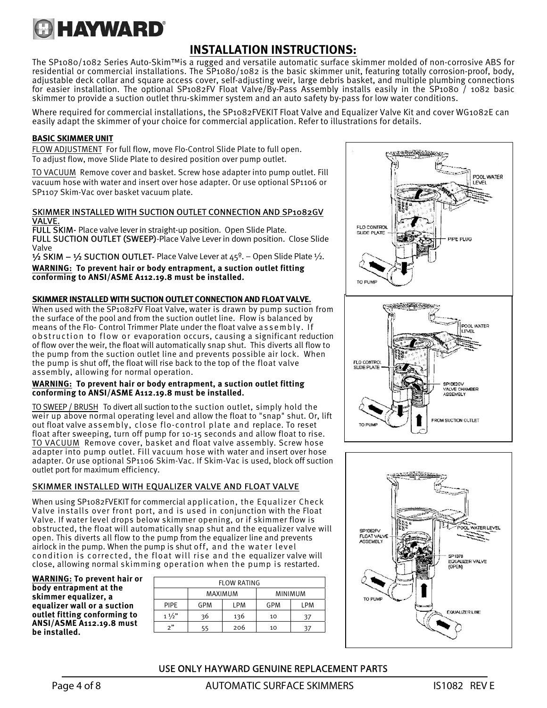

### **INSTALLATION INSTRUCTIONS:**

The SP1080/1082 Series Auto-Skim™is a rugged and versatile automatic surface skimmer molded of non-corrosive ABS for residential or commercial installations. The SP1080/1082 is the basic skimmer unit, featuring totally corrosion-proof, body, adjustable deck collar and square access cover, self-adjusting weir, large debris basket, and multiple plumbing connections for easier installation. The optional SP1082FV Float Valve/By-Pass Assembly installs easily in the SP1080 / 1082 basic skimmer to provide a suction outlet thru-skimmer system and an auto safety by-pass for low water conditions.

Where required for commercial installations, the SP1082FVEKIT Float Valve and Equalizer Valve Kit and cover WG1082E can easily adapt the skimmer of your choice for commercial application. Refer to illustrations for details.

#### **BASIC SKIMMER UNIT**

FLOW ADJUSTMENT For full flow, move Flo-Control Slide Plate to full open. To adjust flow, move Slide Plate to desired position over pump outlet.

TO VACUUM Remove cover and basket. Screw hose adapter into pump outlet. Fill vacuum hose with water and insert over hose adapter. Or use optional SP1106 or SP1107 Skim-Vac over basket vacuum plate.

#### SKIMMER INSTALLED WITH SUCTION OUTLET CONNECTION AND SP1082GV VALVE.

FULL SKIM- Place valve lever in straight-up position. Open Slide Plate. FULL SUCTION OUTLET (SWEEP)-Place Valve Lever in down position. Close Slide Valve

 $\frac{1}{2}$  SKIM –  $\frac{1}{2}$  SUCTION OUTLET- Place Valve Lever at  $45^{\circ}$ . – Open Slide Plate  $\frac{1}{2}$ . **WARNING: To prevent hair or body entrapment, a suction outlet fitting conforming to ANSI/ASME A112.19.8 must be installed.** 

#### **SKIMMER INSTALLED WITH SUCTION OUTLET CONNECTION AND FLOAT VALVE.**

When used with the SP1082FV Float Valve, water is drawn by pump suction from the surface of the pool and from the suction outlet line. Flow is balanced by means of the Flo- Control Trimmer Plate under the float valve assembly. If obstruction to flow or evaporation occurs, causing a significant reduction of flow over the weir, the float will automatically snap shut. This diverts all flow to the pump from the suction outlet line and prevents possible air lock. When the pump is shut off, the float will rise back to the top of the float valve assembly, allowing for normal operation.

#### **WARNING: To prevent hair or body entrapment, a suction outlet fitting conforming to ANSI/ASME A112.19.8 must be installed.**

TO SWEEP / BRUSH To divert all suction to the suction outlet, simply hold the weir up above normal operating level and allow the float to "snap" shut. Or, lift out float valve assembly, close flo-control plate and replace. To reset float after sweeping, turn off pump for 10-15 seconds and allow float to rise. TO VACUUM Remove cover, basket and float valve assembly. Screw hose adapter into pump outlet. Fill vacuum hose with water and insert over hose adapter. Or use optional SP1106 Skim-Vac. If Skim-Vac is used, block off suction outlet port for maximum efficiency.

#### SKIMMER INSTALLED WITH EQUALIZER VALVE AND FLOAT VALVE

When using SP1082FVEKIT for commercial application, the Equalizer Check Valve installs over front port, and is used in conjunction with the Float Valve. If water level drops below skimmer opening, or if skimmer flow is obstructed, the float will automatically snap shut and the equalizer valve will open. This diverts all flow to the pump from the equalizer line and prevents airlock in the pump. When the pump is shut off, and the water level condition is corrected, the float will rise and the equalizer valve will close, allowing normal skimming operation when the pump is restarted.

**WARNING: To prevent hair or body entrapment at the skimmer equalizer, a equalizer wall or a suction outlet fitting conforming to ANSI/ASME A112.19.8 must be installed.** 

| <b>FLOW RATING</b> |  |            |            |                |     |  |
|--------------------|--|------------|------------|----------------|-----|--|
|                    |  | MAXIMUM    |            | <b>MINIMUM</b> |     |  |
| <b>PIPE</b>        |  | <b>GPM</b> | <b>LPM</b> | GPM            | LPM |  |
| $1\frac{1}{2}$     |  | 36         | 136        | 10             | 37  |  |
| 2"                 |  | 55         | 206        | 10             |     |  |





#### USE ONLY HAYWARD GENUINE REPLACEMENT PARTS

Page 4 of 8 AUTOMATIC SURFACE SKIMMERS IS1082 REV E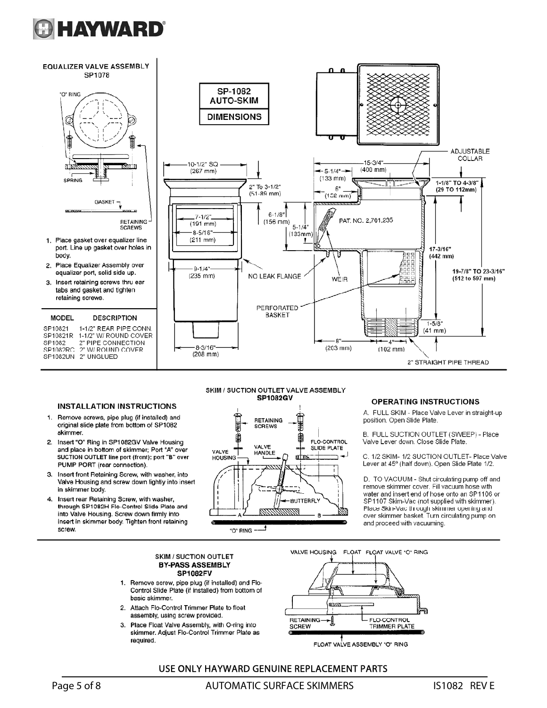

#### **EQUALIZER VALVE ASSEMBLY** SP1078



- 1. Place gasket over equalizer line port. Line up gasket over holes in body.
- 2. Place Equalizer Assembly over equalizer port, solid side up.
- 3. Insert retaining screws thru ear tabs and gasket and tighten retaining screws.

| <b>MODEL</b> | <b>DESCRIPTION</b>     |
|--------------|------------------------|
| SP10821      | 1-1/2" REAR PIPE CONN. |
| SP10821R     | 1-1/2" W/ ROUND COVER  |
| SP1082       | 2" PIPE CONNECTION     |
| SP1082RC     | 2" W/ ROUND COVER      |
| SP1082UN     | 2" UNGLUED             |



#### **INSTALLATION INSTRUCTIONS**

- 1. Remove screws, pipe plug (if installed) and original slide plate from bottom of SP1082 skimmer.
- 2. Insert "O" Ring in SP1082GV Valve Housing and place in bottom of skimmer; Port "A" over SUCTION OUTLET line port (front); port "B" over PUMP PORT (rear connection).
- 3. Insert front Retaining Screw, with washer, into Valve Housing and screw down lightly into insert in skimmer body.
- 4. Insert rear Retaining Screw, with washer, through SP1082H Flo-Control Slide Plate and into Valve Housing. Screw down firmly into insert in skimmer body. Tighten front retaining screw.

#### **SKIM / SUCTION OUTLET VALVE ASSEMBLY** SP1082GV



#### **OPERATING INSTRUCTIONS**

A. FULL SKIM - Place Valve Lever in straight-up position. Open Slide Plate.

B. FULL SUCTION OUTLET (SWEEP) - Place Valve Lever down. Close Slide Plate.

C. 1/2 SKIM- 1/2 SUCTION OUTLET- Place Valve Lever at 45° (half down). Open Slide Plate 1/2.

D. TO VACUUM - Shut circulating pump off and remove skimmer cover. Fill vacuum hose with water and insert end of hose onto an SP1106 or SP1107 Skim-Vac (not supplied with skimmer). Place Skin-Vac through skimmer opening and over skimmer basket. Turn circulating pump on and proceed with vacuuming.

#### **SKIM / SUCTION OUTLET BY-PASS ASSEMBLY** SP1082FV

- 1. Remove screw, pipe plug (if installed) and Flo-Control Slide Plate (if installed) from bottom of basic skimmer.
- 2. Attach Flo-Control Trimmer Plate to float assembly, using screw provided.
- 3. Place Float Valve Assembly, with O-ring into skimmer. Adjust Flo-Control Trimmer Plate as required.



FLOAT VALVE ASSEMBLY "O" RING

#### USE ONLY HAYWARD GENUINE REPLACEMENT PARTS

Page 5 of 8 AUTOMATIC SURFACE SKIMMERS IS1082 REV E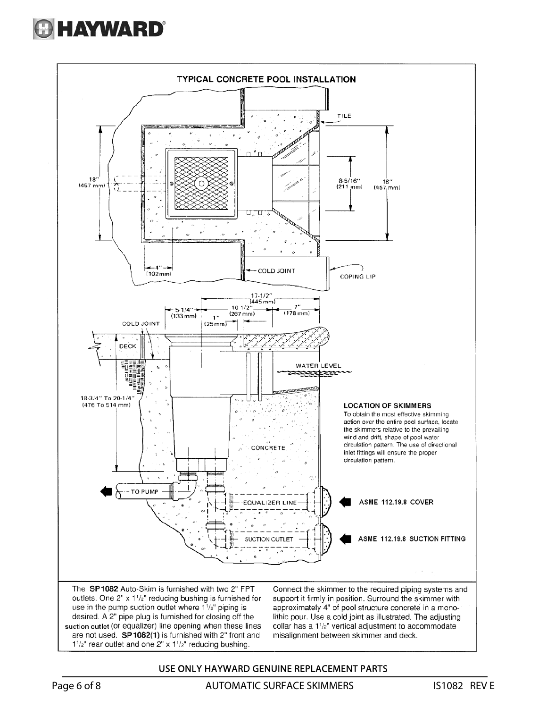



desired. A 2" pipe plug is furnished for closing off the suction outlet (or equalizer) line opening when these lines are not used. SP 1082(1) is furnished with 2" front and 1<sup>1</sup>/<sub>2</sub>" rear outlet and one 2" x 1<sup>1</sup>/<sub>2</sub>" reducing bushing.

approximately 4" of pool structure concrete in a monolithic pour. Use a cold joint as illustrated. The adjusting collar has a 11/2" vertical adjustment to accommodate misalignment between skimmer and deck.

#### USE ONLY HAYWARD GENUINE REPLACEMENT PARTS

Page 6 of 8 AUTOMATIC SURFACE SKIMMERS IS1082 REV E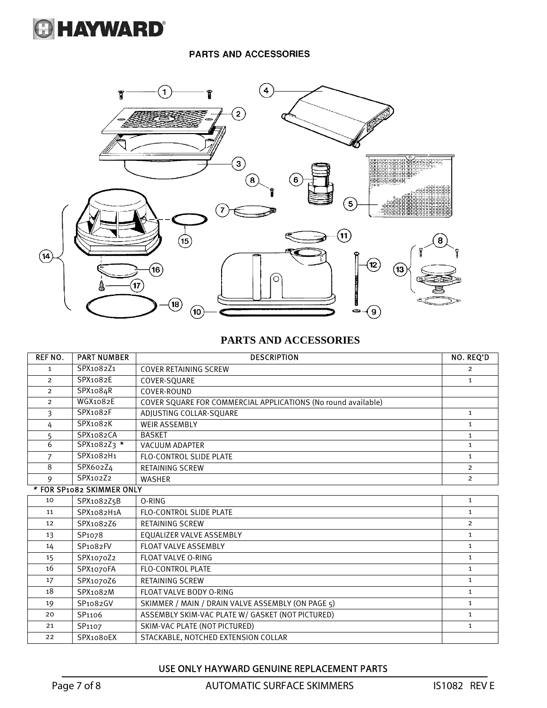

#### PARTS AND ACCESSORIES



#### **PARTS AND ACCESSORIES**

| <b>REF NO.</b>            | <b>PART NUMBER</b>    | <b>DESCRIPTION</b>                                            | NO. REQ'D      |
|---------------------------|-----------------------|---------------------------------------------------------------|----------------|
| $\mathbf{1}$              | SPX1082Z1             | <b>COVER RETAINING SCREW</b>                                  | $\overline{2}$ |
| $\overline{2}$            | SPX1082E              | COVER-SOUARE                                                  | $\mathbf{1}$   |
| $\overline{2}$            | SPX1084R              | COVER-ROUND                                                   |                |
| $\overline{2}$            | WGX1082E              | COVER SQUARE FOR COMMERCIAL APPLICATIONS (No round available) |                |
| 3                         | SPX1082F              | ADJUSTING COLLAR-SQUARE                                       | $\mathbf{1}$   |
| 4                         | SPX1082K              | <b>WEIR ASSEMBLY</b>                                          | $\mathbf{1}$   |
| 5                         | SPX1082CA             | <b>BASKET</b>                                                 | $\mathbf{1}$   |
| 6                         | SPX1082Z3 *           | <b>VACUUM ADAPTER</b>                                         | $\mathbf{1}$   |
| $\overline{7}$            | SPX1082H1             | <b>FLO-CONTROL SLIDE PLATE</b>                                | $\mathbf{1}$   |
| 8                         | SPX6o2Z4              | <b>RETAINING SCREW</b>                                        | $\overline{2}$ |
| 9                         | SPX102Z2              | <b>WASHER</b>                                                 | $\overline{2}$ |
| * FOR SP1082 SKIMMER ONLY |                       |                                                               |                |
| 10                        | SPX1082Z5B            | $O-RING$                                                      | $\mathbf{1}$   |
| 11                        | SPX1082H1A            | <b>FLO-CONTROL SLIDE PLATE</b>                                | $\mathbf{1}$   |
| 12                        | SPX1082Z6             | <b>RETAINING SCREW</b>                                        | $\overline{2}$ |
| 13                        | SP <sub>107</sub> 8   | <b>EOUALIZER VALVE ASSEMBLY</b>                               | $\mathbf{1}$   |
| 14                        | SP <sub>1082</sub> FV | <b>FLOAT VALVE ASSEMBLY</b>                                   | $\mathbf{1}$   |
| 15                        | SPX1070Z2             | <b>FLOAT VALVE O-RING</b>                                     | $\mathbf{1}$   |
| 16                        | SPX1070FA             | <b>FLO-CONTROL PLATE</b>                                      | $\mathbf{1}$   |
| 17                        | SPX1070Z6             | <b>RETAINING SCREW</b>                                        | $\mathbf{1}$   |
| 18                        | SPX1082M              | FLOAT VALVE BODY O-RING                                       | $\mathbf{1}$   |
| 19                        | SP <sub>1082G</sub> V | SKIMMER / MAIN / DRAIN VALVE ASSEMBLY (ON PAGE 5)             | $\mathbf{1}$   |
| 20                        | SP <sub>1106</sub>    | ASSEMBLY SKIM-VAC PLATE W/ GASKET (NOT PICTURED)              | $\mathbf{1}$   |
| 21                        | SP <sub>1107</sub>    | SKIM-VAC PLATE (NOT PICTURED)                                 | $\mathbf{1}$   |
| 22                        | SPX1080EX             | STACKABLE, NOTCHED EXTENSION COLLAR                           |                |

#### USE ONLY HAYWARD GENUINE REPLACEMENT PARTS